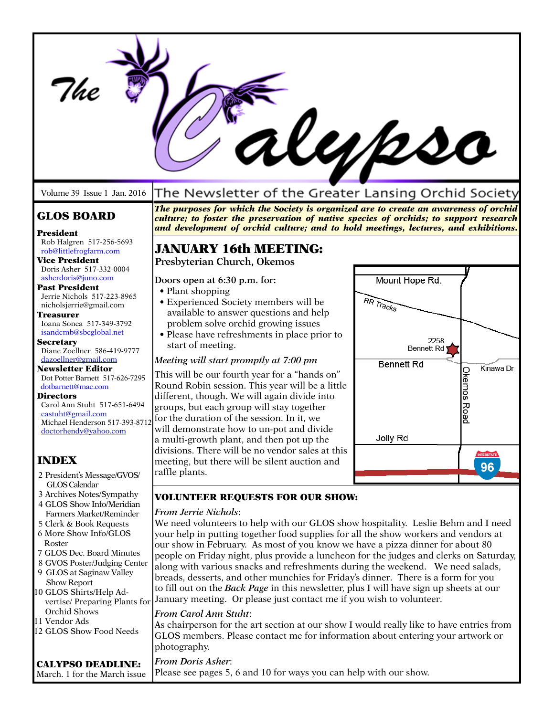|                                                                                                                                                                                                                                                                                                                                                                                                                                                                                                                                                   |                                                                                                                                                                                                                                                                                                                                                                                                                                                                                                                                                                                                                                                                                                                                                                                                                                                                                                                                                                                               | $\boldsymbol{\mathcal{U}}\mathcal{D}\boldsymbol{\mathcal{S}}$                                                                                           |
|---------------------------------------------------------------------------------------------------------------------------------------------------------------------------------------------------------------------------------------------------------------------------------------------------------------------------------------------------------------------------------------------------------------------------------------------------------------------------------------------------------------------------------------------------|-----------------------------------------------------------------------------------------------------------------------------------------------------------------------------------------------------------------------------------------------------------------------------------------------------------------------------------------------------------------------------------------------------------------------------------------------------------------------------------------------------------------------------------------------------------------------------------------------------------------------------------------------------------------------------------------------------------------------------------------------------------------------------------------------------------------------------------------------------------------------------------------------------------------------------------------------------------------------------------------------|---------------------------------------------------------------------------------------------------------------------------------------------------------|
| Volume 39 Issue 1 Jan. 2016                                                                                                                                                                                                                                                                                                                                                                                                                                                                                                                       | The Newsletter of the Greater Lansing Orchid Society                                                                                                                                                                                                                                                                                                                                                                                                                                                                                                                                                                                                                                                                                                                                                                                                                                                                                                                                          |                                                                                                                                                         |
| <b>GLOS BOARD</b><br>President<br>Rob Halgren 517-256-5693                                                                                                                                                                                                                                                                                                                                                                                                                                                                                        | The purposes for which the Society is organized are to create an awareness of orchid<br>culture; to foster the preservation of native species of orchids; to support research<br>and development of orchid culture; and to hold meetings, lectures, and exhibitions.                                                                                                                                                                                                                                                                                                                                                                                                                                                                                                                                                                                                                                                                                                                          |                                                                                                                                                         |
| rob@littlefrogfarm.com<br><b>Vice President</b>                                                                                                                                                                                                                                                                                                                                                                                                                                                                                                   | <b>JANUARY 16th MEETING:</b>                                                                                                                                                                                                                                                                                                                                                                                                                                                                                                                                                                                                                                                                                                                                                                                                                                                                                                                                                                  |                                                                                                                                                         |
| Doris Asher 517-332-0004<br>asherdoris@juno.com<br>Past President<br>Jerrie Nichols 517-223-8965<br>nicholsjerrie@gmail.com<br>Treasurer<br>Ioana Sonea 517-349-3792<br>isandcmb@sbcglobal.net<br><b>Secretary</b><br>Diane Zoellner 586-419-9777<br>dazoellner@gmail.com<br><b>Newsletter Editor</b><br>Dot Potter Barnett 517-626-7295<br>dotbarnett@mac.com<br><b>Directors</b><br>Carol Ann Stuht 517-651-6494<br>castuht@gmail.com<br>Michael Henderson 517-393-8712<br>doctorhendy@yahoo.com<br><b>INDEX</b><br>2 President's Message/GVOS/ | Presbyterian Church, Okemos<br>Doors open at 6:30 p.m. for:<br>• Plant shopping<br>• Experienced Society members will be<br>available to answer questions and help<br>problem solve orchid growing issues<br>• Please have refreshments in place prior to<br>start of meeting.<br>Meeting will start promptly at 7:00 pm<br>This will be our fourth year for a "hands on"<br>Round Robin session. This year will be a little<br>different, though. We will again divide into<br>groups, but each group will stay together<br>for the duration of the session. In it, we<br>will demonstrate how to un-pot and divide<br>a multi-growth plant, and then pot up the<br>divisions. There will be no vendor sales at this<br>meeting, but there will be silent auction and<br>raffle plants.                                                                                                                                                                                                      | Mount Hope Rd.<br>RR Tracks<br>2258<br><b>Bennett Rd</b><br><b>Bennett Rd</b><br>Kinawa Dr<br><b>Okemos Road</b><br>Jolly Rd<br><b>INTERSTATE</b><br>96 |
| GLOS Calendar                                                                                                                                                                                                                                                                                                                                                                                                                                                                                                                                     |                                                                                                                                                                                                                                                                                                                                                                                                                                                                                                                                                                                                                                                                                                                                                                                                                                                                                                                                                                                               |                                                                                                                                                         |
| 3 Archives Notes/Sympathy<br>4 GLOS Show Info/Meridian<br>Farmers Market/Reminder<br>5 Clerk & Book Requests<br>6 More Show Info/GLOS<br>Roster<br>7 GLOS Dec. Board Minutes<br>8 GVOS Poster/Judging Center<br>9 GLOS at Saginaw Valley<br>Show Report<br>10 GLOS Shirts/Help Ad-<br>vertise/ Preparing Plants for<br>Orchid Shows<br>11 Vendor Ads<br>12 GLOS Show Food Needs                                                                                                                                                                   | <b>VOLUNTEER REQUESTS FOR OUR SHOW:</b><br><b>From Jerrie Nichols:</b><br>We need volunteers to help with our GLOS show hospitality. Leslie Behm and I need<br>your help in putting together food supplies for all the show workers and vendors at<br>our show in February. As most of you know we have a pizza dinner for about 80<br>people on Friday night, plus provide a luncheon for the judges and clerks on Saturday,<br>along with various snacks and refreshments during the weekend. We need salads,<br>breads, desserts, and other munchies for Friday's dinner. There is a form for you<br>to fill out on the Back Page in this newsletter, plus I will have sign up sheets at our<br>January meeting. Or please just contact me if you wish to volunteer.<br>From Carol Ann Stuht:<br>As chairperson for the art section at our show I would really like to have entries from<br>GLOS members. Please contact me for information about entering your artwork or<br>photography. |                                                                                                                                                         |
| <b>CALYPSO DEADLINE:</b><br>March. 1 for the March issue                                                                                                                                                                                                                                                                                                                                                                                                                                                                                          | From Doris Asher:<br>Please see pages 5, 6 and 10 for ways you can help with our show.                                                                                                                                                                                                                                                                                                                                                                                                                                                                                                                                                                                                                                                                                                                                                                                                                                                                                                        |                                                                                                                                                         |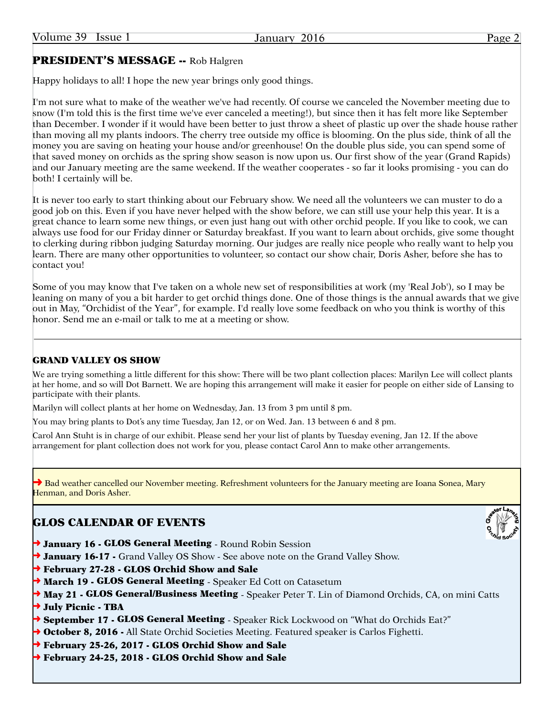# PRESIDENT'S MESSAGE -- Rob Halgren

Happy holidays to all! I hope the new year brings only good things.

I'm not sure what to make of the weather we've had recently. Of course we canceled the November meeting due to snow (I'm told this is the first time we've ever canceled a meeting!), but since then it has felt more like September than December. I wonder if it would have been better to just throw a sheet of plastic up over the shade house rather than moving all my plants indoors. The cherry tree outside my office is blooming. On the plus side, think of all the money you are saving on heating your house and/or greenhouse! On the double plus side, you can spend some of that saved money on orchids as the spring show season is now upon us. Our first show of the year (Grand Rapids) and our January meeting are the same weekend. If the weather cooperates - so far it looks promising - you can do both! I certainly will be.

It is never too early to start thinking about our February show. We need all the volunteers we can muster to do a good job on this. Even if you have never helped with the show before, we can still use your help this year. It is a great chance to learn some new things, or even just hang out with other orchid people. If you like to cook, we can always use food for our Friday dinner or Saturday breakfast. If you want to learn about orchids, give some thought to clerking during ribbon judging Saturday morning. Our judges are really nice people who really want to help you learn. There are many other opportunities to volunteer, so contact our show chair, Doris Asher, before she has to contact you!

Some of you may know that I've taken on a whole new set of responsibilities at work (my 'Real Job'), so I may be leaning on many of you a bit harder to get orchid things done. One of those things is the annual awards that we give out in May, "Orchidist of the Year", for example. I'd really love some feedback on who you think is worthy of this honor. Send me an e-mail or talk to me at a meeting or show.

### GRAND VALLEY OS SHOW

We are trying something a little different for this show: There will be two plant collection places: Marilyn Lee will collect plants at her home, and so will Dot Barnett. We are hoping this arrangement will make it easier for people on either side of Lansing to participate with their plants.

Marilyn will collect plants at her home on Wednesday, Jan. 13 from 3 pm until 8 pm.

You may bring plants to Dot's any time Tuesday, Jan 12, or on Wed. Jan. 13 between 6 and 8 pm.

Carol Ann Stuht is in charge of our exhibit. Please send her your list of plants by Tuesday evening, Jan 12. If the above arrangement for plant collection does not work for you, please contact Carol Ann to make other arrangements.

→ Bad weather cancelled our November meeting. Refreshment volunteers for the January meeting are Ioana Sonea, Mary Henman, and Doris Asher.

# GLOS CALENDAR OF EVENTS

- → January 16 GLOS General Meeting Round Robin Session
- → January 16-17 Grand Valley OS Show See above note on the Grand Valley Show.
- ➜ February 27-28 GLOS Orchid Show and Sale
- → March 19 GLOS General Meeting Speaker Ed Cott on Catasetum
- → May 21 GLOS General/Business Meeting Speaker Peter T. Lin of Diamond Orchids, CA, on mini Catts
- → July Picnic TBA
- → September 17 GLOS General Meeting Speaker Rick Lockwood on "What do Orchids Eat?"
- → October 8, 2016 All State Orchid Societies Meeting. Featured speaker is Carlos Fighetti.
- ➜ February 25-26, 2017 GLOS Orchid Show and Sale
- ➜ February 24-25, 2018 GLOS Orchid Show and Sale

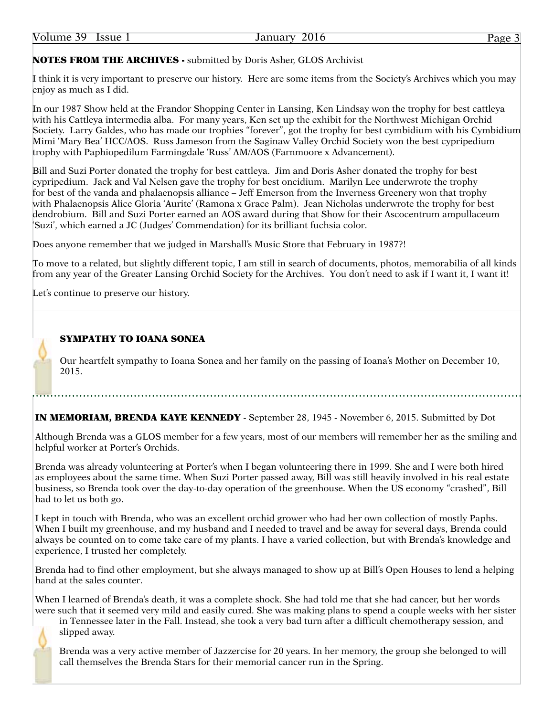Volume 39 Issue 1 January 2016 **Page 3** 

NOTES FROM THE ARCHIVES - submitted by Doris Asher, GLOS Archivist

I think it is very important to preserve our history. Here are some items from the Society's Archives which you may enjoy as much as I did.

In our 1987 Show held at the Frandor Shopping Center in Lansing, Ken Lindsay won the trophy for best cattleya with his Cattleya intermedia alba. For many years, Ken set up the exhibit for the Northwest Michigan Orchid Society. Larry Galdes, who has made our trophies "forever", got the trophy for best cymbidium with his Cymbidium Mimi 'Mary Bea' HCC/AOS. Russ Jameson from the Saginaw Valley Orchid Society won the best cypripedium trophy with Paphiopedilum Farmingdale 'Russ' AM/AOS (Farnmoore x Advancement).

Bill and Suzi Porter donated the trophy for best cattleya. Jim and Doris Asher donated the trophy for best cypripedium. Jack and Val Nelsen gave the trophy for best oncidium. Marilyn Lee underwrote the trophy for best of the vanda and phalaenopsis alliance – Jeff Emerson from the Inverness Greenery won that trophy with Phalaenopsis Alice Gloria 'Aurite' (Ramona x Grace Palm). Jean Nicholas underwrote the trophy for best dendrobium. Bill and Suzi Porter earned an AOS award during that Show for their Ascocentrum ampullaceum 'Suzi', which earned a JC (Judges' Commendation) for its brilliant fuchsia color.

Does anyone remember that we judged in Marshall's Music Store that February in 1987?!

To move to a related, but slightly different topic, I am still in search of documents, photos, memorabilia of all kinds from any year of the Greater Lansing Orchid Society for the Archives. You don't need to ask if I want it, I want it!

Let's continue to preserve our history.

### SYMPATHY TO IOANA SONEA

Our heartfelt sympathy to Ioana Sonea and her family on the passing of Ioana's Mother on December 10, 2015.

IN MEMORIAM, BRENDA KAYE KENNEDY - September 28, 1945 - November 6, 2015. Submitted by Dot

Although Brenda was a GLOS member for a few years, most of our members will remember her as the smiling and helpful worker at Porter's Orchids.

Brenda was already volunteering at Porter's when I began volunteering there in 1999. She and I were both hired as employees about the same time. When Suzi Porter passed away, Bill was still heavily involved in his real estate business, so Brenda took over the day-to-day operation of the greenhouse. When the US economy "crashed", Bill had to let us both go.

I kept in touch with Brenda, who was an excellent orchid grower who had her own collection of mostly Paphs. When I built my greenhouse, and my husband and I needed to travel and be away for several days, Brenda could always be counted on to come take care of my plants. I have a varied collection, but with Brenda's knowledge and experience, I trusted her completely.

Brenda had to find other employment, but she always managed to show up at Bill's Open Houses to lend a helping hand at the sales counter.

When I learned of Brenda's death, it was a complete shock. She had told me that she had cancer, but her words were such that it seemed very mild and easily cured. She was making plans to spend a couple weeks with her sister

in Tennessee later in the Fall. Instead, she took a very bad turn after a difficult chemotherapy session, and slipped away.

Brenda was a very active member of Jazzercise for 20 years. In her memory, the group she belonged to will call themselves the Brenda Stars for their memorial cancer run in the Spring.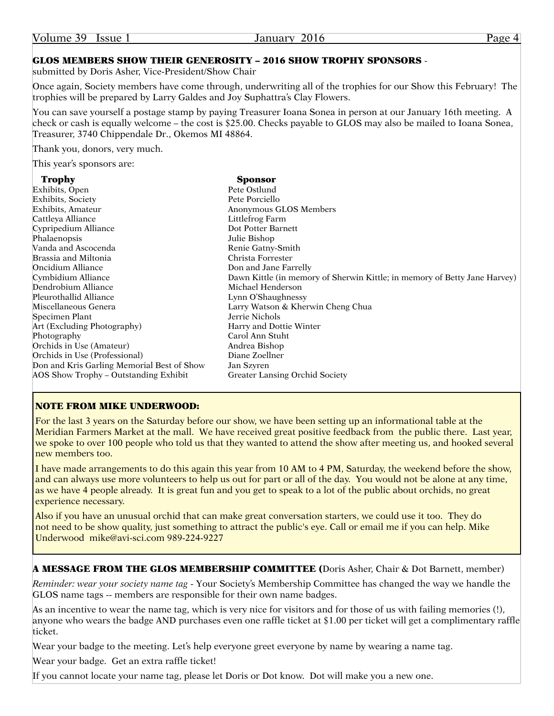| Volume 39 |  | Issue 1 |  |
|-----------|--|---------|--|
|-----------|--|---------|--|

### GLOS MEMBERS SHOW THEIR GENEROSITY – 2016 SHOW TROPHY SPONSORS -

submitted by Doris Asher, Vice-President/Show Chair

Once again, Society members have come through, underwriting all of the trophies for our Show this February! The trophies will be prepared by Larry Galdes and Joy Suphattra's Clay Flowers.

You can save yourself a postage stamp by paying Treasurer Ioana Sonea in person at our January 16th meeting. A check or cash is equally welcome – the cost is \$25.00. Checks payable to GLOS may also be mailed to Ioana Sonea, Treasurer, 3740 Chippendale Dr., Okemos MI 48864.

Thank you, donors, very much.

This year's sponsors are:

| <b>Trophy</b>                              | Sponsor                                                                   |
|--------------------------------------------|---------------------------------------------------------------------------|
| Exhibits, Open                             | Pete Ostlund                                                              |
| Exhibits, Society                          | Pete Porciello                                                            |
| Exhibits, Amateur                          | Anonymous GLOS Members                                                    |
| Cattleya Alliance                          | Littlefrog Farm                                                           |
| Cypripedium Alliance                       | Dot Potter Barnett                                                        |
| Phalaenopsis                               | Julie Bishop                                                              |
| Vanda and Ascocenda                        | Renie Gatny-Smith                                                         |
| Brassia and Miltonia                       | Christa Forrester                                                         |
| Oncidium Alliance                          | Don and Jane Farrelly                                                     |
| Cymbidium Alliance                         | Dawn Kittle (in memory of Sherwin Kittle; in memory of Betty Jane Harvey) |
| Dendrobium Alliance                        | Michael Henderson                                                         |
| Pleurothallid Alliance                     | Lynn O'Shaughnessy                                                        |
| Miscellaneous Genera                       | Larry Watson & Kherwin Cheng Chua                                         |
| Specimen Plant                             | Jerrie Nichols                                                            |
| Art (Excluding Photography)                | Harry and Dottie Winter                                                   |
| Photography                                | Carol Ann Stuht                                                           |
| Orchids in Use (Amateur)                   | Andrea Bishop                                                             |
| Orchids in Use (Professional)              | Diane Zoellner                                                            |
| Don and Kris Garling Memorial Best of Show | Jan Szyren                                                                |
| AOS Show Trophy - Outstanding Exhibit      | Greater Lansing Orchid Society                                            |
|                                            |                                                                           |

### NOTE FROM MIKE UNDERWOOD:

For the last 3 years on the Saturday before our show, we have been setting up an informational table at the Meridian Farmers Market at the mall. We have received great positive feedback from the public there. Last year, we spoke to over 100 people who told us that they wanted to attend the show after meeting us, and hooked several new members too.

I have made arrangements to do this again this year from 10 AM to 4 PM, Saturday, the weekend before the show, and can always use more volunteers to help us out for part or all of the day. You would not be alone at any time, as we have 4 people already. It is great fun and you get to speak to a lot of the public about orchids, no great experience necessary.

Also if you have an unusual orchid that can make great conversation starters, we could use it too. They do not need to be show quality, just something to attract the public's eye. Call or email me if you can help. Mike Underwood mike@avi-sci.com 989-224-9227

A MESSAGE FROM THE GLOS MEMBERSHIP COMMITTEE (Doris Asher, Chair & Dot Barnett, member)

*Reminder: wear your society name tag* - Your Society's Membership Committee has changed the way we handle the GLOS name tags -- members are responsible for their own name badges.

As an incentive to wear the name tag, which is very nice for visitors and for those of us with failing memories (!), anyone who wears the badge AND purchases even one raffle ticket at \$1.00 per ticket will get a complimentary raffle ticket.

Wear your badge to the meeting. Let's help everyone greet everyone by name by wearing a name tag.

Wear your badge. Get an extra raffle ticket!

If you cannot locate your name tag, please let Doris or Dot know. Dot will make you a new one.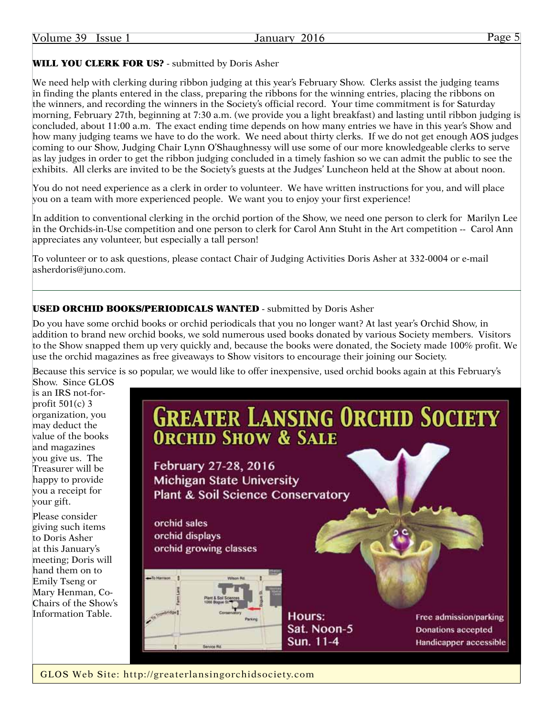# WILL YOU CLERK FOR US? - submitted by Doris Asher

We need help with clerking during ribbon judging at this year's February Show. Clerks assist the judging teams in finding the plants entered in the class, preparing the ribbons for the winning entries, placing the ribbons on the winners, and recording the winners in the Society's official record. Your time commitment is for Saturday morning, February 27th, beginning at 7:30 a.m. (we provide you a light breakfast) and lasting until ribbon judging is concluded, about 11:00 a.m. The exact ending time depends on how many entries we have in this year's Show and how many judging teams we have to do the work. We need about thirty clerks. If we do not get enough AOS judges coming to our Show, Judging Chair Lynn O'Shaughnessy will use some of our more knowledgeable clerks to serve as lay judges in order to get the ribbon judging concluded in a timely fashion so we can admit the public to see the exhibits. All clerks are invited to be the Society's guests at the Judges' Luncheon held at the Show at about noon.

You do not need experience as a clerk in order to volunteer. We have written instructions for you, and will place you on a team with more experienced people. We want you to enjoy your first experience!

In addition to conventional clerking in the orchid portion of the Show, we need one person to clerk for Marilyn Lee in the Orchids-in-Use competition and one person to clerk for Carol Ann Stuht in the Art competition -- Carol Ann appreciates any volunteer, but especially a tall person!

To volunteer or to ask questions, please contact Chair of Judging Activities Doris Asher at 332-0004 or e-mail asherdoris@juno.com.

### USED ORCHID BOOKS/PERIODICALS WANTED - submitted by Doris Asher

Do you have some orchid books or orchid periodicals that you no longer want? At last year's Orchid Show, in addition to brand new orchid books, we sold numerous used books donated by various Society members. Visitors to the Show snapped them up very quickly and, because the books were donated, the Society made 100% profit. We use the orchid magazines as free giveaways to Show visitors to encourage their joining our Society.

Because this service is so popular, we would like to offer inexpensive, used orchid books again at this February's Show. Since GLOS

is an IRS not-forprofit  $501(c)$  3 organization, you may deduct the value of the books and magazines you give us. The Treasurer will be happy to provide you a receipt for your gift.

Please consider giving such items to Doris Asher at this January's meeting; Doris will hand them on to Emily Tseng or Mary Henman, Co-Chairs of the Show's Information Table.



GLOS Web Site: <http://greaterlansingorchidsociety.com>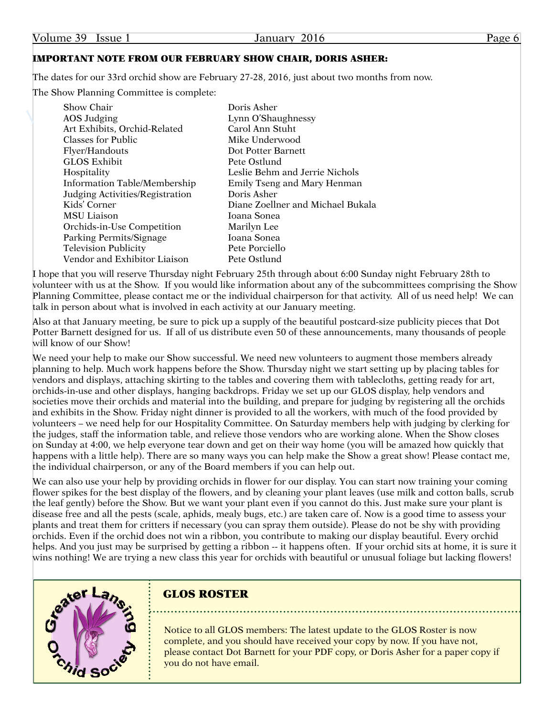### IMPORTANT NOTE FROM OUR FEBRUARY SHOW CHAIR, DORIS ASHER:

The dates for our 33rd orchid show are February 27-28, 2016, just about two months from now.

The Show Planning Committee is complete:

| Show Chair                          | Doris Asher                       |
|-------------------------------------|-----------------------------------|
| AOS Judging                         | Lynn O'Shaughnessy                |
| Art Exhibits, Orchid-Related        | Carol Ann Stuht                   |
| <b>Classes for Public</b>           | Mike Underwood                    |
| Flyer/Handouts                      | Dot Potter Barnett                |
| GLOS Exhibit                        | Pete Ostlund                      |
| Hospitality                         | Leslie Behm and Jerrie Nichols    |
| <b>Information Table/Membership</b> | Emily Tseng and Mary Henman       |
| Judging Activities/Registration     | Doris Asher                       |
| Kids' Corner                        | Diane Zoellner and Michael Bukala |
| MSU Liaison                         | Ioana Sonea                       |
| Orchids-in-Use Competition          | Marilyn Lee                       |
| Parking Permits/Signage             | Ioana Sonea                       |
| <b>Television Publicity</b>         | Pete Porciello                    |
| Vendor and Exhibitor Liaison        | Pete Ostlund                      |

I hope that you will reserve Thursday night February 25th through about 6:00 Sunday night February 28th to volunteer with us at the Show. If you would like information about any of the subcommittees comprising the Show Planning Committee, please contact me or the individual chairperson for that activity. All of us need help! We can talk in person about what is involved in each activity at our January meeting.

Also at that January meeting, be sure to pick up a supply of the beautiful postcard-size publicity pieces that Dot Potter Barnett designed for us. If all of us distribute even 50 of these announcements, many thousands of people will know of our Show!

We need your help to make our Show successful. We need new volunteers to augment those members already planning to help. Much work happens before the Show. Thursday night we start setting up by placing tables for vendors and displays, attaching skirting to the tables and covering them with tablecloths, getting ready for art, orchids-in-use and other displays, hanging backdrops. Friday we set up our GLOS display, help vendors and societies move their orchids and material into the building, and prepare for judging by registering all the orchids and exhibits in the Show. Friday night dinner is provided to all the workers, with much of the food provided by volunteers – we need help for our Hospitality Committee. On Saturday members help with judging by clerking for the judges, staff the information table, and relieve those vendors who are working alone. When the Show closes on Sunday at 4:00, we help everyone tear down and get on their way home (you will be amazed how quickly that happens with a little help). There are so many ways you can help make the Show a great show! Please contact me, the individual chairperson, or any of the Board members if you can help out.

We can also use your help by providing orchids in flower for our display. You can start now training your coming flower spikes for the best display of the flowers, and by cleaning your plant leaves (use milk and cotton balls, scrub the leaf gently) before the Show. But we want your plant even if you cannot do this. Just make sure your plant is disease free and all the pests (scale, aphids, mealy bugs, etc.) are taken care of. Now is a good time to assess your plants and treat them for critters if necessary (you can spray them outside). Please do not be shy with providing orchids. Even if the orchid does not win a ribbon, you contribute to making our display beautiful. Every orchid helps. And you just may be surprised by getting a ribbon -- it happens often. If your orchid sits at home, it is sure it wins nothing! We are trying a new class this year for orchids with beautiful or unusual foliage but lacking flowers!



# GLOS ROSTER

Notice to all GLOS members: The latest update to the GLOS Roster is now complete, and you should have received your copy by now. If you have not, please contact Dot Barnett for your PDF copy, or Doris Asher for a paper copy if you do not have email.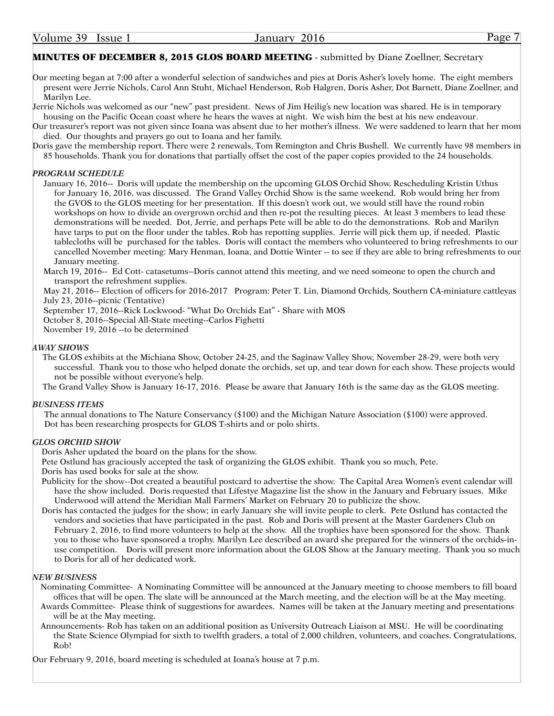### MINUTES OF DECEMBER 8, 2015 GLOS BOARD MEETING - submitted by Diane Zoellner, Secretary

Our meeting began at 7:00 after a wonderful selection of sandwiches and pies at Doris Asher's lovely home. The eight members present were Jerrie Nichols, Carol Ann Stuht, Michael Henderson, Rob Halgren, Doris Asher, Dot Barnett, Diane Zoellner, and Marilyn Lee.

Jerrie Nichols was welcomed as our "new" past president. News of Jim Heilig's new location was shared. He is in temporary housing on the Pacific Ocean coast where he hears the waves at night. We wish him the best at his new endeavour.

Our treasurer's report was not given since Ioana was absent due to her mother's illness. We were saddened to learn that her mom died. Our thoughts and prayers go out to Ioana and her family.

Doris gave the membership report. There were 2 renewals, Tom Remington and Chris Bushell. We currently have 98 members in 85 households. Thank you for donations that partially offset the cost of the paper copies provided to the 24 households.

### *PROGRAM SCHEDULE*

January 16, 2016-- Doris will update the membership on the upcoming GLOS Orchid Show. Rescheduling Kristin Uthus for January 16, 2016, was discussed. The Grand Valley Orchid Show is the same weekend. Rob would bring her from the GVOS to the GLOS meeting for her presentation. If this doesn't work out, we would still have the round robin workshops on how to divide an overgrown orchid and then re-pot the resulting pieces. At least 3 members to lead these demonstrations will be needed. Dot, Jerrie, and perhaps Pete will be able to do the demonstrations. Rob and Marilyn have tarps to put on the floor under the tables. Rob has repotting supplies. Jerrie will pick them up, if needed. Plastic tablecloths will be purchased for the tables. Doris will contact the members who volunteered to bring refreshments to our cancelled November meeting: Mary Henman, Ioana, and Dottie Winter -- to see if they are able to bring refreshments to our January meeting.

March 19, 2016-- Ed Cott- catasetums--Doris cannot attend this meeting, and we need someone to open the church and transport the refreshment supplies.

May 21, 2016-- Election of officers for 2016-2017 Program: Peter T. Lin, Diamond Orchids, Southern CA-miniature cattleyas July 23, 2016--picnic (Tentative)

September 17, 2016--Rick Lockwood- "What Do Orchids Eat" - Share with MOS

October 8, 2016--Special All-State meeting--Carlos Fighetti

November 19, 2016 --to be determined

### *AWAY SHOWS*

The GLOS exhibits at the Michiana Show, October 24-25, and the Saginaw Valley Show, November 28-29, were both very successful. Thank you to those who helped donate the orchids, set up, and tear down for each show. These projects would not be possible without everyone's help.

The Grand Valley Show is January 16-17, 2016. Please be aware that January 16th is the same day as the GLOS meeting.

### *BUSINESS ITEMS*

The annual donations to The Nature Conservancy (\$100) and the Michigan Nature Association (\$100) were approved. Dot has been researching prospects for GLOS T-shirts and or polo shirts.

### *GLOS ORCHID SHOW*

Doris Asher updated the board on the plans for the show.

Pete Ostlund has graciously accepted the task of organizing the GLOS exhibit. Thank you so much, Pete.

Doris has used books for sale at the show.

- Publicity for the show--Dot created a beautiful postcard to advertise the show. The Capital Area Women's event calendar will have the show included. Doris requested that Lifestye Magazine list the show in the January and February issues. Mike Underwood will attend the Meridian Mall Farmers' Market on February 20 to publicize the show.
- Doris has contacted the judges for the show; in early January she will invite people to clerk. Pete Ostlund has contacted the vendors and societies that have participated in the past. Rob and Doris will present at the Master Gardeners Club on February 2, 2016, to find more volunteers to help at the show. All the trophies have been sponsored for the show. Thank you to those who have sponsored a trophy. Marilyn Lee described an award she prepared for the winners of the orchids-inuse competition. Doris will present more information about the GLOS Show at the January meeting. Thank you so much to Doris for all of her dedicated work.

### *NEW BUSINESS*

- Nominating Committee- A Nominating Committee will be announced at the January meeting to choose members to fill board offices that will be open. The slate will be announced at the March meeting, and the election will be at the May meeting.
- Awards Committee- Please think of suggestions for awardees. Names will be taken at the January meeting and presentations will be at the May meeting.
- Announcements- Rob has taken on an additional position as University Outreach Liaison at MSU. He will be coordinating the State Science Olympiad for sixth to twelfth graders, a total of 2,000 children, volunteers, and coaches. Congratulations, Rob!

Our February 9, 2016, board meeting is scheduled at Ioana's house at 7 p.m.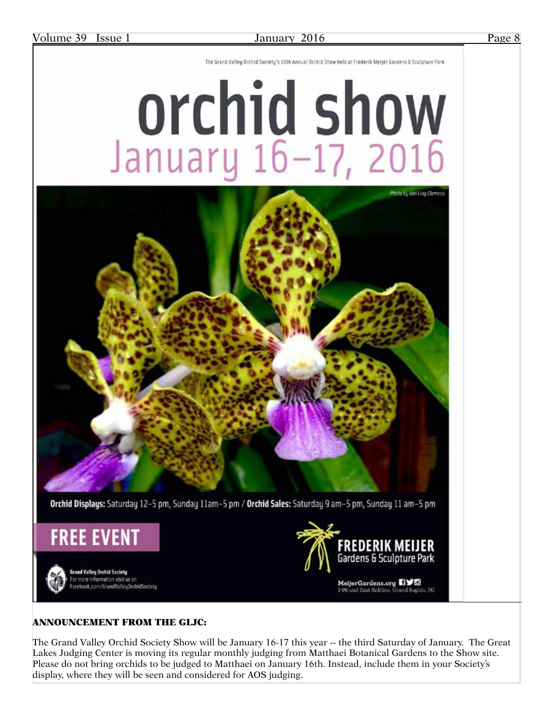The Grand Valley Orchid Society's 16th Annual Orchid Show held at Frederik Meijer Gardens & Sculpture Park

# Orchid show<br>January 16-17, 2016



### ANNOUNCEMENT FROM THE GLJC:

The Grand Valley Orchid Society Show will be January 16-17 this year -- the third Saturday of January. The Great Lakes Judging Center is moving its regular monthly judging from Matthaei Botanical Gardens to the Show site. Please do not bring orchids to be judged to Matthaei on January 16th. Instead, include them in your Society's display, where they will be seen and considered for AOS judging.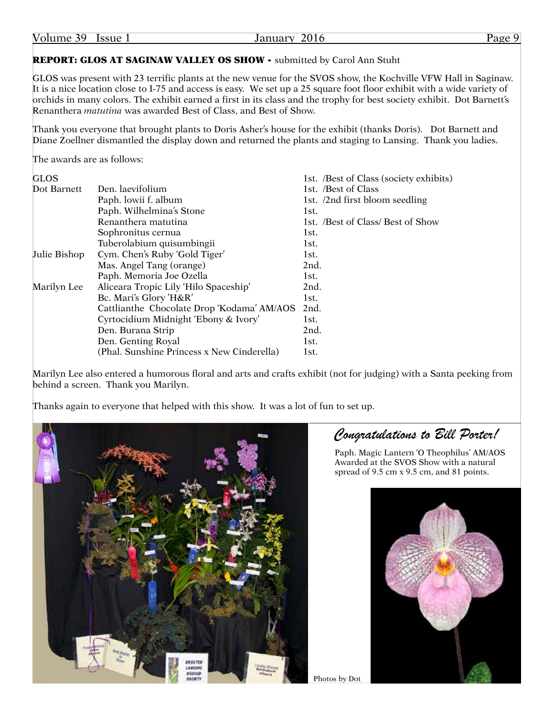| Volume 39 |  | Issue 1 |  |
|-----------|--|---------|--|
|-----------|--|---------|--|

### January 2016 **Page 9**

### REPORT: GLOS AT SAGINAW VALLEY OS SHOW - submitted by Carol Ann Stuht

GLOS was present with 23 terrific plants at the new venue for the SVOS show, the Kochville VFW Hall in Saginaw. It is a nice location close to I-75 and access is easy. We set up a 25 square foot floor exhibit with a wide variety of orchids in many colors. The exhibit earned a first in its class and the trophy for best society exhibit. Dot Barnett's Renanthera *matutina* was awarded Best of Class, and Best of Show.

Thank you everyone that brought plants to Doris Asher's house for the exhibit (thanks Doris). Dot Barnett and Diane Zoellner dismantled the display down and returned the plants and staging to Lansing. Thank you ladies.

The awards are as follows:

| <b>GLOS</b>  |                                            | 1st. /Best of Class (society exhibits) |
|--------------|--------------------------------------------|----------------------------------------|
| Dot Barnett  | Den. laevifolium                           | 1st. /Best of Class                    |
|              | Paph. lowii f. album                       | 1st. /2nd first bloom seedling         |
|              | Paph. Wilhelmina's Stone                   | 1st.                                   |
|              | Renanthera matutina                        | 1st. /Best of Class/ Best of Show      |
|              | Sophronitus cernua                         | 1st.                                   |
|              | Tuberolabium quisumbingii                  | 1st.                                   |
| Julie Bishop | Cym. Chen's Ruby 'Gold Tiger'              | 1st.                                   |
|              | Mas. Angel Tang (orange)                   | 2nd.                                   |
|              | Paph. Memoria Joe Ozella                   | 1st.                                   |
| Marilyn Lee  | Aliceara Tropic Lily 'Hilo Spaceship'      | 2nd.                                   |
|              | Bc. Mari's Glory 'H&R'                     | 1st.                                   |
|              | Cattlianthe Chocolate Drop 'Kodama' AM/AOS | 2nd.                                   |
|              | Cyrtocidium Midnight 'Ebony & Ivory'       | 1st.                                   |
|              | Den. Burana Strip                          | 2nd.                                   |
|              | Den. Genting Royal                         | 1st.                                   |
|              | (Phal. Sunshine Princess x New Cinderella) | 1st.                                   |

Marilyn Lee also entered a humorous floral and arts and crafts exhibit (not for judging) with a Santa peeking from behind a screen. Thank you Marilyn.

Thanks again to everyone that helped with this show. It was a lot of fun to set up.



*Congratulations to Bill Porter!*

Paph. Magic Lantern 'O Theophilus' AM/AOS Awarded at the SVOS Show with a natural spread of 9.5 cm x 9.5 cm, and 81 points.



```
Photos by Dot
```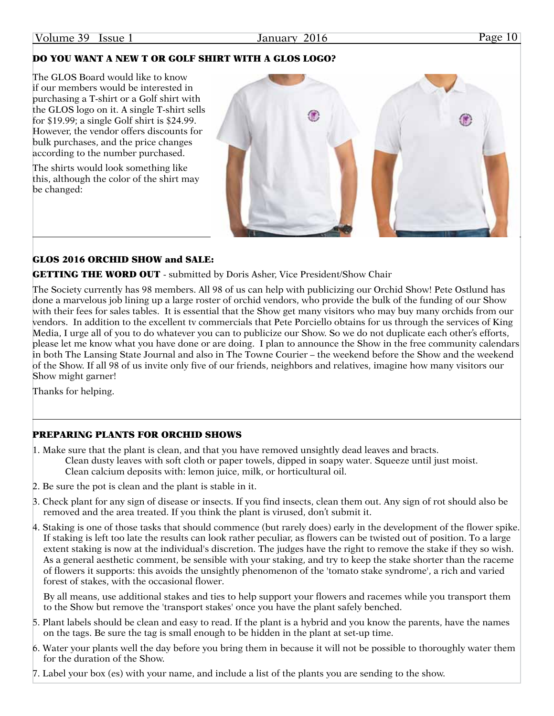### Volume 39 Issue 1 January 2016 Page 10

### DO YOU WANT A NEW T OR GOLF SHIRT WITH A GLOS LOGO?

The GLOS Board would like to know if our members would be interested in purchasing a T-shirt or a Golf shirt with the GLOS logo on it. A single T-shirt sells for \$19.99; a single Golf shirt is \$24.99. However, the vendor offers discounts for bulk purchases, and the price changes according to the number purchased.

The shirts would look something like this, although the color of the shirt may be changed:

### GLOS 2016 ORCHID SHOW and SALE:

### **GETTING THE WORD OUT** - submitted by Doris Asher, Vice President/Show Chair

The Society currently has 98 members. All 98 of us can help with publicizing our Orchid Show! Pete Ostlund has done a marvelous job lining up a large roster of orchid vendors, who provide the bulk of the funding of our Show with their fees for sales tables. It is essential that the Show get many visitors who may buy many orchids from our vendors. In addition to the excellent tv commercials that Pete Porciello obtains for us through the services of King Media, I urge all of you to do whatever you can to publicize our Show. So we do not duplicate each other's efforts, please let me know what you have done or are doing. I plan to announce the Show in the free community calendars in both The Lansing State Journal and also in The Towne Courier – the weekend before the Show and the weekend of the Show. If all 98 of us invite only five of our friends, neighbors and relatives, imagine how many visitors our Show might garner!

Thanks for helping.

### PREPARING PLANTS FOR ORCHID SHOWS

- 1. Make sure that the plant is clean, and that you have removed unsightly dead leaves and bracts. Clean dusty leaves with soft cloth or paper towels, dipped in soapy water. Squeeze until just moist. Clean calcium deposits with: lemon juice, milk, or horticultural oil.
- 2. Be sure the pot is clean and the plant is stable in it.
- 3. Check plant for any sign of disease or insects. If you find insects, clean them out. Any sign of rot should also be removed and the area treated. If you think the plant is virused, don't submit it.
- 4. Staking is one of those tasks that should commence (but rarely does) early in the development of the flower spike. If staking is left too late the results can look rather peculiar, as flowers can be twisted out of position. To a large extent staking is now at the individual's discretion. The judges have the right to remove the stake if they so wish. As a general aesthetic comment, be sensible with your staking, and try to keep the stake shorter than the raceme of flowers it supports: this avoids the unsightly phenomenon of the 'tomato stake syndrome', a rich and varied forest of stakes, with the occasional flower.

By all means, use additional stakes and ties to help support your flowers and racemes while you transport them to the Show but remove the 'transport stakes' once you have the plant safely benched.

- 5. Plant labels should be clean and easy to read. If the plant is a hybrid and you know the parents, have the names on the tags. Be sure the tag is small enough to be hidden in the plant at set-up time.
- 6. Water your plants well the day before you bring them in because it will not be possible to thoroughly water them for the duration of the Show.
- 7. Label your box (es) with your name, and include a list of the plants you are sending to the show.

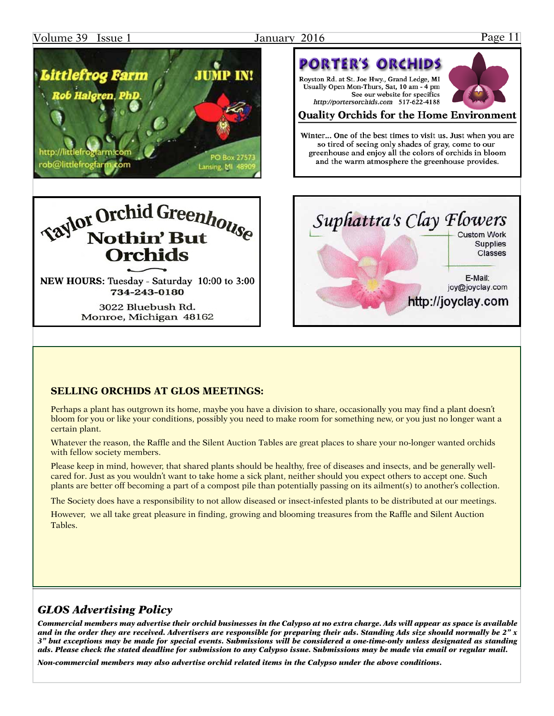### Volume 39 Issue 1 January 2016 Page 11



NEW HOURS: Tuesday - Saturday 10:00 to 3:00 734-243-0180

> 3022 Bluebush Rd. Monroe, Michigan 48162



### **SELLING ORCHIDS AT GLOS MEETINGS:**

Perhaps a plant has outgrown its home, maybe you have a division to share, occasionally you may find a plant doesn't bloom for you or like your conditions, possibly you need to make room for something new, or you just no longer want a certain plant.

Whatever the reason, the Raffle and the Silent Auction Tables are great places to share your no-longer wanted orchids with fellow society members.

Please keep in mind, however, that shared plants should be healthy, free of diseases and insects, and be generally wellcared for. Just as you wouldn't want to take home a sick plant, neither should you expect others to accept one. Such plants are better off becoming a part of a compost pile than potentially passing on its ailment(s) to another's collection.

The Society does have a responsibility to not allow diseased or insect-infested plants to be distributed at our meetings.

However, we all take great pleasure in finding, growing and blooming treasures from the Raffle and Silent Auction Tables.

### *GLOS Advertising Policy*

*Commercial members may advertise their orchid businesses in the Calypso at no extra charge. Ads will appear as space is available and in the order they are received. Advertisers are responsible for preparing their ads. Standing Ads size should normally be 2" x 3" but exceptions may be made for special events. Submissions will be considered a one-time-only unless designated as standing ads. Please check the stated deadline for submission to any Calypso issue. Submissions may be made via email or regular mail.*

*Non-commercial members may also advertise orchid related items in the Calypso under the above conditions.*



### **Quality Orchids for the Home Environment**

See our website for specifics

**PORTER'S ORCHIDS** 

Royston Rd. at St. Joe Hwy., Grand Ledge, MI Usually Open Mon-Thurs, Sat. 10 am - 4 pm

http://portersorchids.com 517-622-4188

Winter... One of the best times to visit us. Just when you are so tired of seeing only shades of gray, come to our